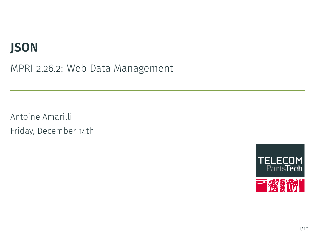# **JSON**

MPRI 2.26.2: Web Data Management

Antoine Amarilli Friday, December 14th

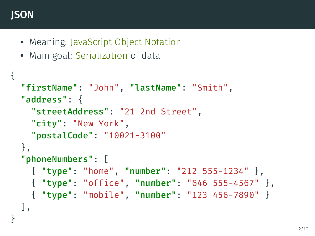#### **JSON**

- Meaning: JavaScript Object Notation
- Main goal: Serialization of data

```
{
  "firstName": "John", "lastName": "Smith",
  "address": {
    "streetAddress": "21 2nd Street",
    "city": "New York",
    "postalCode": "10021-3100"
  },
  "phoneNumbers": [
    { "type": "home", "number": "212 555-1234" },
    { "type": "office", "number": "646 555-4567" },
    { "type": "mobile", "number": "123 456-7890" }
  ],
}
```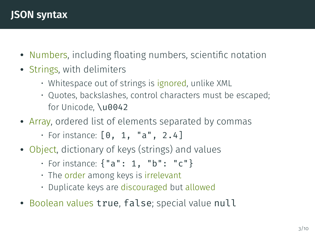- Numbers, including floating numbers, scientific notation
- Strings, with delimiters
	- Whitespace out of strings is ignored, unlike XML
	- Quotes, backslashes, control characters must be escaped; for Unicode, \u0042
- Array, ordered list of elements separated by commas
	- For instance:  $[0, 1, "a", 2.4]$
- Object, dictionary of keys (strings) and values
	- For instance: {"a": 1, "b": "c"}
	- The order among keys is irrelevant
	- Duplicate keys are discouraged but allowed
- Boolean values true, false; special value null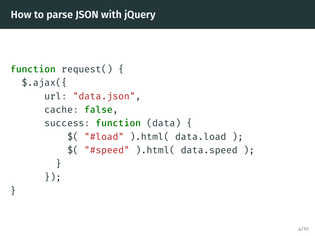```
function request() {
  $. ajax({}url: "data.json",
      cache: false,
      success: function (data) {
          $( "#load" ).html( data.load );
          $( "#speed" ).html( data.speed );
        }
      });
}
```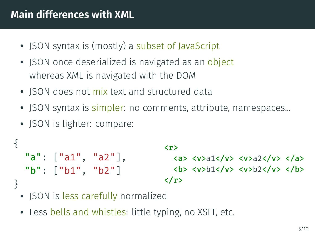### **Main differences with XML**

- JSON syntax is (mostly) a subset of JavaScript
- JSON once deserialized is navigated as an object whereas XML is navigated with the DOM
- JSON does not mix text and structured data
- JSON syntax is simpler: no comments, attribute, namespaces...
- JSON is lighter: compare:

```
{
    "a": ["a1", "a2"],
    "b": ["b1", "b2"]
}
                                                                \langle r \rangle\langle a \rangle \langle v \rangle \langle a \rangle \langle v \rangle \langle v \rangle \langle v \rangle \langle a \rangle<b> <v>b1</v> <v>b2</v> </b>
                                                                </r>
```
- JSON is less carefully normalized
- Less bells and whistles: little typing, no XSLT, etc.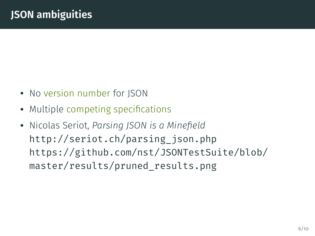# **JSON ambiguities**

- No version number for JSON
- Multiple competing specifications
- Nicolas Seriot, *Parsing JSON is a Minefield* http://seriot.ch/parsing\_json.php https://github.com/nst/JSONTestSuite/blob/ master/results/pruned\_results.png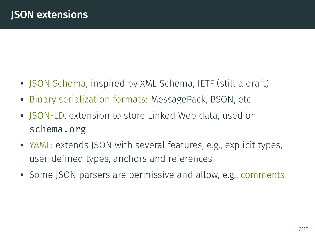## **JSON extensions**

- JSON Schema, inspired by XML Schema, IETF (still a draft)
- Binary serialization formats: MessagePack, BSON, etc.
- JSON-LD, extension to store Linked Web data, used on schema.org
- YAML: extends JSON with several features, e.g., explicit types, user-defined types, anchors and references
- Some JSON parsers are permissive and allow, e.g., comments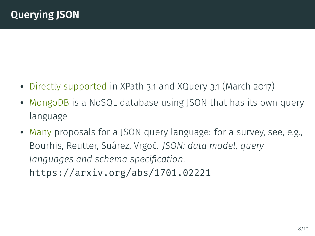# **Querying JSON**

- Directly supported in XPath 3.1 and XQuery 3.1 (March 2017)
- MongoDB is a NoSQL database using JSON that has its own query language
- Many proposals for a JSON query language: for a survey, see, e.g., Bourhis, Reutter, Suárez, Vrgoč. *JSON: data model, query languages and schema specification*. https://arxiv.org/abs/1701.02221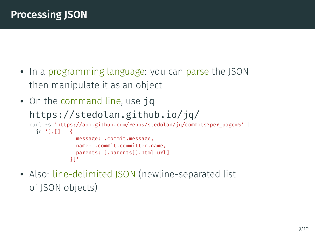# **Processing JSON**

- In a programming language: you can parse the JSON then manipulate it as an object
- On the command line, use jq https://stedolan.github.io/jq/ curl -s 'https://api.github.com/repos/stedolan/jq/commits?per\_page=5' | jq '[.[] | { message: .commit.message, name: .commit.committer.name, parents: [.parents[].html\_url] }]'
- Also: line-delimited JSON (newline-separated list of JSON objects)